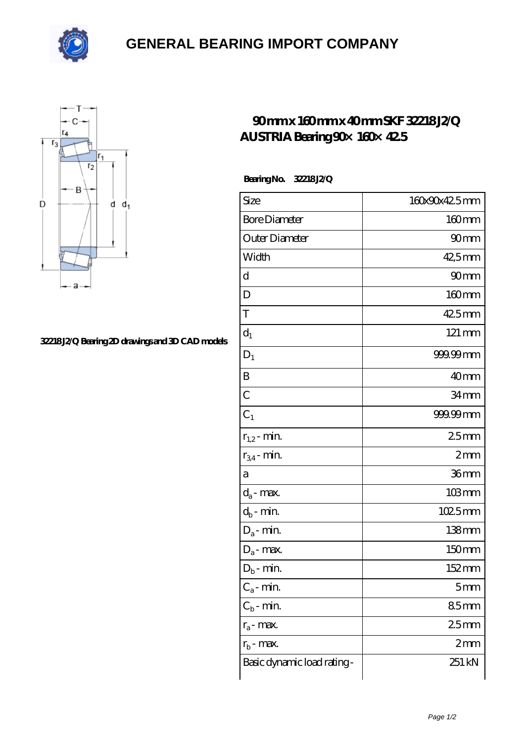

## **[GENERAL BEARING IMPORT COMPANY](https://m.xedu860.com)**



## **[32218 J2/Q Bearing 2D drawings and 3D CAD models](https://m.xedu860.com/pic-243328.html)**

## **[90 mm x 160 mm x 40 mm SKF 32218 J2/Q](https://m.xedu860.com/am-243328-skf-32218-j2-q-austria-bearing-90-160-42-5.html) [AUSTRIA Bearing 90×160×42.5](https://m.xedu860.com/am-243328-skf-32218-j2-q-austria-bearing-90-160-42-5.html)**

 **Bearing No. 32218 J2/Q**

| Size                       | 160x90x42.5mm       |
|----------------------------|---------------------|
| <b>Bore Diameter</b>       | $160$ mm            |
| Outer Diameter             | 90 <sub>mm</sub>    |
| Width                      | 42,5mm              |
| d                          | 90mm                |
| D                          | $160$ mm            |
| T                          | 425mm               |
| $d_1$                      | $121 \,\mathrm{mm}$ |
| $D_1$                      | 999.99mm            |
| B                          | 40 <sub>mm</sub>    |
| $\overline{C}$             | 34 <sub>mm</sub>    |
| $C_1$                      | 999.99mm            |
| $r_{1,2}$ - min.           | 25mm                |
| $r_{34}$ - min.            | 2mm                 |
| a                          | 36mm                |
| $d_a$ - max.               | $103$ mm            |
| $d_b$ - min.               | 1025mm              |
| $D_a$ - min.               | $138$ mm            |
| $D_a$ - max.               | 150mm               |
| $D_b$ - min.               | 152mm               |
| $C_a$ - min.               | 5 <sub>mm</sub>     |
| $C_b$ - min.               | 85mm                |
| $r_a$ - max.               | 25 <sub>mm</sub>    |
| $r_{b}$ - max.             | 2mm                 |
| Basic dynamic load rating- | 251 kN              |